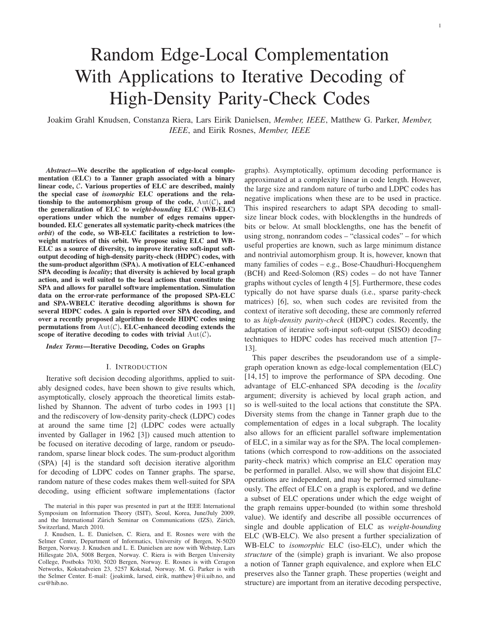# Random Edge-Local Complementation With Applications to Iterative Decoding of High-Density Parity-Check Codes

Joakim Grahl Knudsen, Constanza Riera, Lars Eirik Danielsen, *Member, IEEE*, Matthew G. Parker, *Member, IEEE*, and Eirik Rosnes, *Member, IEEE*

*Abstract***—We describe the application of edge-local complementation (ELC) to a Tanner graph associated with a binary linear code,** C**. Various properties of ELC are described, mainly the special case of** *isomorphic* **ELC operations and the relationship to the automorphism group of the code,**  $Aut(\mathcal{C})$ , and **the generalization of ELC to** *weight-bounding* **ELC (WB-ELC) operations under which the number of edges remains upperbounded. ELC generates all systematic parity-check matrices (the** *orbit***) of the code, so WB-ELC facilitates a restriction to lowweight matrices of this orbit. We propose using ELC and WB-ELC as a source of diversity, to improve iterative soft-input softoutput decoding of high-density parity-check (HDPC) codes, with the sum-product algorithm (SPA). A motivation of ELC-enhanced SPA decoding is** *locality***; that diversity is achieved by local graph action, and is well suited to the local actions that constitute the SPA and allows for parallel software implementation. Simulation data on the error-rate performance of the proposed SPA-ELC and SPA-WBELC iterative decoding algorithms is shown for several HDPC codes. A gain is reported over SPA decoding, and over a recently proposed algorithm to decode HDPC codes using permutations from**  $\text{Aut}(\mathcal{C})$ . **ELC-enhanced decoding extends the scope of iterative decoding to codes with trivial**  $Aut(\mathcal{C})$ **.** 

## *Index Terms***—Iterative Decoding, Codes on Graphs**

## I. INTRODUCTION

Iterative soft decision decoding algorithms, applied to suitably designed codes, have been shown to give results which, asymptotically, closely approach the theoretical limits established by Shannon. The advent of turbo codes in 1993 [1] and the rediscovery of low-density parity-check (LDPC) codes at around the same time [2] (LDPC codes were actually invented by Gallager in 1962 [3]) caused much attention to be focused on iterative decoding of large, random or pseudorandom, sparse linear block codes. The sum-product algorithm (SPA) [4] is the standard soft decision iterative algorithm for decoding of LDPC codes on Tanner graphs. The sparse, random nature of these codes makes them well-suited for SPA decoding, using efficient software implementations (factor graphs). Asymptotically, optimum decoding performance is approximated at a complexity linear in code length. However, the large size and random nature of turbo and LDPC codes has negative implications when these are to be used in practice. This inspired researchers to adapt SPA decoding to smallsize linear block codes, with blocklengths in the hundreds of bits or below. At small blocklengths, one has the benefit of using strong, nonrandom codes – "classical codes" – for which useful properties are known, such as large minimum distance and nontrivial automorphism group. It is, however, known that many families of codes – e.g., Bose-Chaudhuri-Hocquenghem (BCH) and Reed-Solomon (RS) codes – do not have Tanner graphs without cycles of length 4 [5]. Furthermore, these codes typically do not have sparse duals (i.e., sparse parity-check matrices) [6], so, when such codes are revisited from the context of iterative soft decoding, these are commonly referred to as *high-density parity-check* (HDPC) codes. Recently, the adaptation of iterative soft-input soft-output (SISO) decoding techniques to HDPC codes has received much attention [7– 13].

This paper describes the pseudorandom use of a simplegraph operation known as edge-local complementation (ELC) [14, 15] to improve the performance of SPA decoding. One advantage of ELC-enhanced SPA decoding is the *locality* argument; diversity is achieved by local graph action, and so is well-suited to the local actions that constitute the SPA. Diversity stems from the change in Tanner graph due to the complementation of edges in a local subgraph. The locality also allows for an efficient parallel software implementation of ELC, in a similar way as for the SPA. The local complementations (which correspond to row-additions on the associated parity-check matrix) which comprise an ELC operation may be performed in parallel. Also, we will show that disjoint ELC operations are independent, and may be performed simultaneously. The effect of ELC on a graph is explored, and we define a subset of ELC operations under which the edge weight of the graph remains upper-bounded (to within some threshold value). We identify and describe all possible occurrences of single and double application of ELC as *weight-bounding* ELC (WB-ELC). We also present a further specialization of WB-ELC to *isomorphic* ELC (iso-ELC), under which the *structure* of the (simple) graph is invariant. We also propose a notion of Tanner graph equivalence, and explore when ELC preserves also the Tanner graph. These properties (weight and structure) are important from an iterative decoding perspective,

The material in this paper was presented in part at the IEEE International Symposium on Information Theory (ISIT), Seoul, Korea, June/July 2009, and the International Zürich Seminar on Communications (IZS), Zürich, Switzerland, March 2010.

J. Knudsen, L. E. Danielsen, C. Riera, and E. Rosnes were with the Selmer Center, Department of Informatics, University of Bergen, N-5020 Bergen, Norway. J. Knudsen and L. E. Danielsen are now with Webstep, Lars Hillesgate 20A, 5008 Bergen, Norway. C. Riera is with Bergen University College, Postboks 7030, 5020 Bergen, Norway. E. Rosnes is with Ceragon Networks, Kokstadveien 23, 5257 Kokstad, Norway. M. G. Parker is with the Selmer Center. E-mail: {joakimk, larsed, eirik, matthew}@ii.uib.no, and csr@hib.no.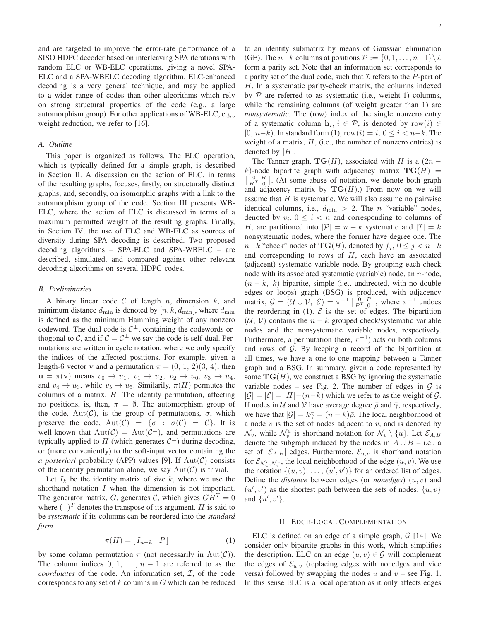and are targeted to improve the error-rate performance of a SISO HDPC decoder based on interleaving SPA iterations with random ELC or WB-ELC operations, giving a novel SPA-ELC and a SPA-WBELC decoding algorithm. ELC-enhanced decoding is a very general technique, and may be applied to a wider range of codes than other algorithms which rely on strong structural properties of the code (e.g., a large automorphism group). For other applications of WB-ELC, e.g., weight reduction, we refer to [16].

## *A. Outline*

This paper is organized as follows. The ELC operation, which is typically defined for a simple graph, is described in Section II. A discussion on the action of ELC, in terms of the resulting graphs, focuses, firstly, on structurally distinct graphs, and, secondly, on isomorphic graphs with a link to the automorphism group of the code. Section III presents WB-ELC, where the action of ELC is discussed in terms of a maximum permitted weight of the resulting graphs. Finally, in Section IV, the use of ELC and WB-ELC as sources of diversity during SPA decoding is described. Two proposed decoding algorithms – SPA-ELC and SPA-WBELC – are described, simulated, and compared against other relevant decoding algorithms on several HDPC codes.

#### *B. Preliminaries*

A binary linear code  $C$  of length  $n$ , dimension  $k$ , and minimum distance  $d_{\min}$  is denoted by  $[n, k, d_{\min}]$ , where  $d_{\min}$ is defined as the minimum Hamming weight of any nonzero codeword. The dual code is  $C^{\perp}$ , containing the codewords orthogonal to C, and if  $C = C^{\perp}$  we say the code is self-dual. Permutations are written in cycle notation, where we only specify the indices of the affected positions. For example, given a length-6 vector **v** and a permutation  $\pi = (0, 1, 2)(3, 4)$ , then  $u = \pi(v)$  means  $v_0 \rightarrow u_1, v_1 \rightarrow u_2, v_2 \rightarrow u_0, v_3 \rightarrow u_4$ , and  $v_4 \rightarrow u_3$ , while  $v_5 \rightarrow u_5$ . Similarily,  $\pi(H)$  permutes the columns of a matrix,  $H$ . The identity permutation, affecting no positions, is, then,  $\pi = \emptyset$ . The automorphism group of the code,  $Aut(\mathcal{C})$ , is the group of permutations,  $\sigma$ , which preserve the code,  $Aut(\mathcal{C}) = {\sigma : \sigma(\mathcal{C}) = \mathcal{C}}$ . It is well-known that  $Aut(\mathcal{C}) = Aut(\mathcal{C}^{\perp})$ , and permutations are typically applied to H (which generates  $C^{\perp}$ ) during decoding, or (more conveniently) to the soft-input vector containing the *a posteriori* probability (APP) values [9]. If  $Aut(\mathcal{C})$  consists of the identity permutation alone, we say  $Aut(\mathcal{C})$  is trivial.

Let  $I_k$  be the identity matrix of size  $k$ , where we use the shorthand notation I when the dimension is not important. The generator matrix, G, generates C, which gives  $GH<sup>T</sup> = 0$ where  $(\cdot)^T$  denotes the transpose of its argument. H is said to be *systematic* if its columns can be reordered into the *standard form*

$$
\pi(H) = [I_{n-k} | P]
$$
 (1)

by some column permutation  $\pi$  (not necessarily in Aut(C)). The column indices  $0, 1, \ldots, n-1$  are referred to as the  $coordinates$  of the code. An information set,  $I$ , of the code corresponds to any set of  $k$  columns in  $G$  which can be reduced to an identity submatrix by means of Gaussian elimination (GE). The *n*−*k* columns at positions  $P := \{0, 1, \ldots, n-1\} \setminus \mathcal{I}$ form a parity set. Note that an information set corresponds to a parity set of the dual code, such that  $\mathcal I$  refers to the P-part of H. In a systematic parity-check matrix, the columns indexed by  $P$  are referred to as systematic (i.e., weight-1) columns, while the remaining columns (of weight greater than 1) are *nonsystematic*. The (row) index of the single nonzero entry of a systematic column  $\mathbf{h}_i, i \in \mathcal{P}$ , is denoted by row $(i) \in$ [0,  $n-k$ ]. In standard form (1), row $(i) = i, 0 \le i \le n-k$ . The weight of a matrix,  $H$ , (i.e., the number of nonzero entries) is denoted by  $|H|$ .

The Tanner graph,  $TG(H)$ , associated with H is a  $(2n$ k)-node bipartite graph with adjacency matrix  $\textbf{TG}(H)$  =  $\begin{bmatrix} 0 & H \\ H^T & 0 \end{bmatrix}$ . (At some abuse of notation, we denote both graph and adjacency matrix by  $TG(H)$ .) From now on we will assume that  $H$  is systematic. We will also assume no pairwise identical columns, i.e.,  $d_{\min} > 2$ . The *n* "variable" nodes, denoted by  $v_i$ ,  $0 \le i < n$  and corresponding to columns of H, are partitioned into  $|\mathcal{P}| = n - k$  systematic and  $|\mathcal{I}| = k$ nonsystematic nodes, where the former have degree one. The  $n-k$  "check" nodes of  $\mathbf{TG}(H)$ , denoted by  $f_i$ ,  $0 \leq j < n-k$ and corresponding to rows of  $H$ , each have an associated (adjacent) systematic variable node. By grouping each check node with its associated systematic (variable) node, an n-node,  $(n - k, k)$ -bipartite, simple (i.e., undirected, with no double edges or loops) graph (BSG) is produced, with adjacency matrix,  $G = (\mathcal{U} \cup \mathcal{V}, \ \mathcal{E}) = \pi^{-1} \begin{bmatrix} 0 & P \\ P^T & 0 \end{bmatrix}$ , where  $\pi^{-1}$  undoes the reordering in (1).  $\mathcal E$  is the set of edges. The bipartition  $(U, V)$  contains the  $n - k$  grouped check/systematic variable nodes and the nonsystematic variable nodes, respectively. Furthermore, a permutation (here,  $\pi^{-1}$ ) acts on both columns and rows of  $G$ . By keeping a record of the bipartition at all times, we have a one-to-one mapping between a Tanner graph and a BSG. In summary, given a code represented by some  $TG(H)$ , we construct a BSG by ignoring the systematic variable nodes – see Fig. 2. The number of edges in  $G$  is  $|\mathcal{G}| = |\mathcal{E}| = |H| - (n - k)$  which we refer to as the weight of  $\mathcal{G}$ . If nodes in U and V have average degree  $\bar{\rho}$  and  $\bar{\gamma}$ , respectively, we have that  $|\mathcal{G}| = k\overline{\gamma} = (n-k)\overline{\rho}$ . The local neighborhood of a node  $v$  is the set of nodes adjacent to  $v$ , and is denoted by  $\mathcal{N}_v$ , while  $\mathcal{N}_v^u$  is shorthand notation for  $\mathcal{N}_v \setminus \{u\}$ . Let  $\mathcal{E}_{A,B}$ denote the subgraph induced by the nodes in  $A \cup B$  – i.e., a set of  $|\mathcal{E}_{A,B}|$  edges. Furthermore,  $\mathcal{E}_{u,v}$  is shorthand notation for  $\mathcal{E}_{\mathcal{N}_u^v, \mathcal{N}_v^u}$ , the local neighborhood of the edge  $(u, v)$ . We use the notation  $\{(u, v), \ldots, (u', v')\}$  for an ordered list of edges. Define the *distance* between edges (or *nonedges*) (u, v) and  $(u', v')$  as the shortest path between the sets of nodes,  $\{u, v\}$ and  $\{u', v'\}.$ 

## II. EDGE-LOCAL COMPLEMENTATION

ELC is defined on an edge of a simple graph,  $G$  [14]. We consider only bipartite graphs in this work, which simplifies the description. ELC on an edge  $(u, v) \in \mathcal{G}$  will complement the edges of  $\mathcal{E}_{u,v}$  (replacing edges with nonedges and vice versa) followed by swapping the nodes u and  $v$  – see Fig. 1. In this sense ELC is a local operation as it only affects edges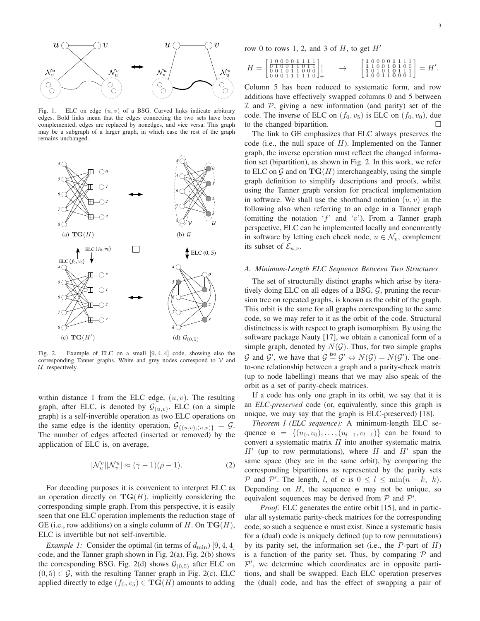

Fig. 1. ELC on edge  $(u, v)$  of a BSG. Curved links indicate arbitrary edges. Bold links mean that the edges connecting the two sets have been complemented; edges are replaced by nonedges, and vice versa. This graph may be a subgraph of a larger graph, in which case the rest of the graph remains unchanged.



Fig. 2. Example of ELC on a small [9, 4, 4] code, showing also the corresponding Tanner graphs. White and grey nodes correspond to  $\mathcal V$  and  $U$ , respectively.

within distance 1 from the ELC edge,  $(u, v)$ . The resulting graph, after ELC, is denoted by  $\mathcal{G}_{(u,v)}$ . ELC (on a simple graph) is a self-invertible operation as two ELC operations on the same edge is the identity operation,  $\mathcal{G}_{\{(u,v),(u,v)\}} = \mathcal{G}.$ The number of edges affected (inserted or removed) by the application of ELC is, on average,

$$
|\mathcal{N}_u^v| |\mathcal{N}_v^u| \approx (\bar{\gamma} - 1)(\bar{\rho} - 1). \tag{2}
$$

For decoding purposes it is convenient to interpret ELC as an operation directly on  $TG(H)$ , implicitly considering the corresponding simple graph. From this perspective, it is easily seen that one ELC operation implements the reduction stage of GE (i.e., row additions) on a single column of H. On  $TG(H)$ , ELC is invertible but not self-invertible.

*Example 1:* Consider the optimal (in terms of  $d_{\text{min}}$ ) [9, 4, 4] code, and the Tanner graph shown in Fig. 2(a). Fig. 2(b) shows the corresponding BSG. Fig. 2(d) shows  $G_{(0,5)}$  after ELC on  $(0, 5) \in \mathcal{G}$ , with the resulting Tanner graph in Fig. 2(c). ELC applied directly to edge  $(f_0, v_5) \in \mathbf{TG}(H)$  amounts to adding row 0 to rows 1, 2, and 3 of  $H$ , to get  $H'$ 

$$
H = \begin{bmatrix} 1 & 0 & 0 & 0 & 0 & 1 & 1 & 1 & 1 \\ 0 & 1 & 1 & 0 & 0 & 1 & 1 & 0 & 1 \\ 0 & 0 & 1 & 0 & 1 & 1 & 0 & 0 & 0 \\ 0 & 0 & 0 & 1 & 1 & 1 & 1 & 0 & 0 \end{bmatrix}^+_{+} \quad \rightarrow \quad \begin{bmatrix} 1 & 0 & 0 & 0 & 0 & 1 & 1 & 1 & 1 \\ 1 & 1 & 0 & 0 & 1 & 0 & 1 & 0 \\ 1 & 0 & 1 & 0 & 0 & 1 & 1 & 1 \\ 1 & 0 & 0 & 1 & 1 & 0 & 0 & 0 & 1 \end{bmatrix} = H'.
$$

Column 5 has been reduced to systematic form, and row additions have effectively swapped columns 0 and 5 between  $I$  and  $P$ , giving a new information (and parity) set of the code. The inverse of ELC on  $(f_0, v_5)$  is ELC on  $(f_0, v_0)$ , due to the changed bipartition.

The link to GE emphasizes that ELC always preserves the code (i.e., the null space of  $H$ ). Implemented on the Tanner graph, the inverse operation must reflect the changed information set (bipartition), as shown in Fig. 2. In this work, we refer to ELC on  $\mathcal G$  and on  $\mathbf{TG}(H)$  interchangeably, using the simple graph definition to simplify descriptions and proofs, whilst using the Tanner graph version for practical implementation in software. We shall use the shorthand notation  $(u, v)$  in the following also when referring to an edge in a Tanner graph (omitting the notation ' $f'$  and 'v'). From a Tanner graph perspective, ELC can be implemented locally and concurrently in software by letting each check node,  $u \in \mathcal{N}_v$ , complement its subset of  $\mathcal{E}_{u,v}$ .

## *A. Minimum-Length ELC Sequence Between Two Structures*

The set of structurally distinct graphs which arise by iteratively doing ELC on all edges of a BSG, G, pruning the recursion tree on repeated graphs, is known as the orbit of the graph. This orbit is the same for all graphs corresponding to the same code, so we may refer to it as the orbit of the code. Structural distinctness is with respect to graph isomorphism. By using the software package Nauty [17], we obtain a canonical form of a simple graph, denoted by  $N(G)$ . Thus, for two simple graphs G and G', we have that  $G \stackrel{\text{iso}}{=} G' \Leftrightarrow N(G) = N(G')$ . The oneto-one relationship between a graph and a parity-check matrix (up to node labelling) means that we may also speak of the orbit as a set of parity-check matrices.

If a code has only one graph in its orbit, we say that it is an *ELC-preserved* code (or, equivalently, since this graph is unique, we may say that the graph is ELC-preserved) [18].

*Theorem 1 (ELC sequence):* A minimum-length ELC sequence  $e = \{(u_0, v_0), \ldots, (u_{l-1}, v_{l-1})\}$  can be found to convert a systematic matrix  $H$  into another systematic matrix  $H'$  (up to row permutations), where  $H$  and  $H'$  span the same space (they are in the same orbit), by comparing the corresponding bipartitions as represented by the parity sets P and P'. The length, l, of e is  $0 \le l \le \min(n-k, k)$ . Depending on  $H$ , the sequence e may not be unique, so equivalent sequences may be derived from  $P$  and  $P'$ .

*Proof:* ELC generates the entire orbit [15], and in particular all systematic parity-check matrices for the corresponding code, so such a sequence e must exist. Since a systematic basis for a (dual) code is uniquely defined (up to row permutations) by its parity set, the information set (i.e., the  $P$ -part of  $H$ ) is a function of the parity set. Thus, by comparing  $P$  and  $\mathcal{P}'$ , we determine which coordinates are in opposite partitions, and shall be swapped. Each ELC operation preserves the (dual) code, and has the effect of swapping a pair of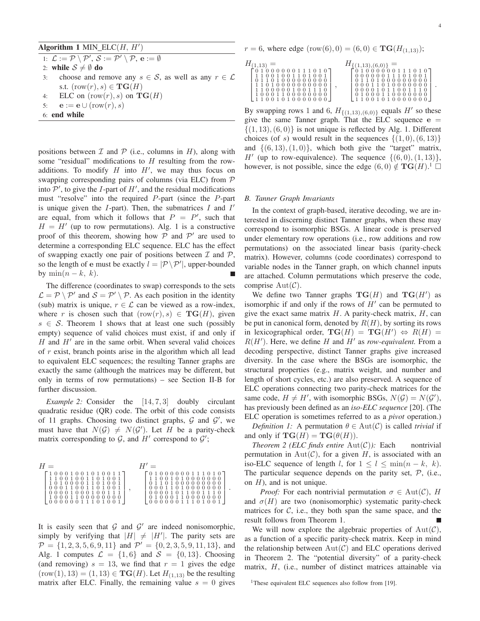## Algorithm  $1$  MIN\_ELC( $H$ ,  $H'$ )

1:  $\mathcal{L} := \mathcal{P} \setminus \mathcal{P}'$ ,  $\mathcal{S} := \mathcal{P}' \setminus \mathcal{P}$ ,  $\mathbf{e} := \emptyset$ 

2: **while**  $S \neq \emptyset$  **do** 

- 3: choose and remove any  $s \in S$ , as well as any  $r \in \mathcal{L}$ s.t.  $(\text{row}(r), s) \in \mathbf{TG}(H)$
- 4: ELC on  $(row(r), s)$  on  $\mathbf{TG}(H)$
- 5:  $\mathbf{e} := \mathbf{e} \cup (\text{row}(r), s)$
- 6: **end while**

positions between  $\mathcal I$  and  $\mathcal P$  (i.e., columns in H), along with some "residual" modifications to  $H$  resulting from the rowadditions. To modify  $H$  into  $H'$ , we may thus focus on swapping corresponding pairs of columns (via ELC) from  $P$ into  $\mathcal{P}'$ , to give the *I*-part of  $H'$ , and the residual modifications must "resolve" into the required P-part (since the P-part is unique given the  $I$ -part). Then, the submatrices  $I$  and  $I'$ are equal, from which it follows that  $P = P'$ , such that  $H = H'$  (up to row permutations). Alg. 1 is a constructive proof of this theorem, showing how  $P$  and  $P'$  are used to determine a corresponding ELC sequence. ELC has the effect of swapping exactly one pair of positions between  $\mathcal I$  and  $\mathcal P$ , so the length of e must be exactly  $l = |\mathcal{P} \backslash \mathcal{P}'|$ , upper-bounded by min $(n - k, k)$ .

The difference (coordinates to swap) corresponds to the sets  $\mathcal{L} = \mathcal{P} \setminus \mathcal{P}'$  and  $\mathcal{S} = \mathcal{P}' \setminus \mathcal{P}$ . As each position in the identity (sub) matrix is unique,  $r \in \mathcal{L}$  can be viewed as a row-index, where r is chosen such that  $(row(r), s) \in \mathbf{TG}(H)$ , given  $s \in S$ . Theorem 1 shows that at least one such (possibly empty) sequence of valid choices must exist, if and only if  $H$  and  $H'$  are in the same orbit. When several valid choices of r exist, branch points arise in the algorithm which all lead to equivalent ELC sequences; the resulting Tanner graphs are exactly the same (although the matrices may be different, but only in terms of row permutations) – see Section II-B for further discussion.

*Example 2:* Consider the [14, 7, 3] doubly circulant quadratic residue (QR) code. The orbit of this code consists of 11 graphs. Choosing two distinct graphs,  $G$  and  $G'$ , we must have that  $N(G) \neq N(G')$ . Let H be a parity-check matrix corresponding to  $G$ , and  $H'$  correspond to  $G'$ ;

| $H =$           |                                                         |
|-----------------|---------------------------------------------------------|
| 10001001010011  | $\lceil 0\ 1\ 0\ 0\ 0\ 0\ 0\ 0\ 1\ 1\ 1\ 0\ 1\ 0\rceil$ |
| 11001001101001  | 11001010000000                                          |
| 10100001101001  | 01101000000000                                          |
| 00011001101001  | 00011010000000                                          |
| 0000100010011   | 0000101100111                                           |
| 10001100000000  | 01000110000000                                          |
| 000000011101001 | 100000011101001                                         |

It is easily seen that  $G$  and  $G'$  are indeed nonisomorphic, simply by verifying that  $|H| \neq |H'|$ . The parity sets are  $\mathcal{P} = \{1, 2, 3, 5, 6, 9, 11\}$  and  $\mathcal{P}' = \{0, 2, 3, 5, 9, 11, 13\}$ , and Alg. 1 computes  $\mathcal{L} = \{1, 6\}$  and  $\mathcal{S} = \{0, 13\}$ . Choosing (and removing)  $s = 13$ , we find that  $r = 1$  gives the edge  $(row(1), 13) = (1, 13) \in \mathbf{TG}(H)$ . Let  $H_{(1,13)}$  be the resulting matrix after ELC. Finally, the remaining value  $s = 0$  gives  $r = 6$ , where edge  $(row(6), 0) = (6, 0) \in \mathbf{TG}(H_{(1,13)})$ ;

| $H\prime$<br>1.13 | $\{\{(1,13),(6,0)\}\}$ |
|-------------------|------------------------|
| 01000000111010    | 010000001110           |
| 11001001101001    | 0000001110100          |
| 01101000000000    | 01101000000000         |
| 11010000000000    | 00011010000000         |
| 11000001001110    | 0000101100111          |
| 10001100000000    | 01000110000000         |

By swapping rows 1 and 6,  $H_{\{(1,13),(6,0)\}}$  equals  $H'$  so these give the same Tanner graph. That the ELC sequence  $e =$  $\{(1, 13), (6, 0)\}\$ is not unique is reflected by Alg. 1. Different choices (of s) would result in the sequences  $\{(1,0), (6, 13)\}\$ and  $\{(6, 13), (1, 0)\}$ , which both give the "target" matrix, H' (up to row-equivalence). The sequence  $\{(6,0), (1,13)\}\,$ however, is not possible, since the edge  $(6,0) \notin \mathbf{TG}(H)$ .<sup>1</sup>

## *B. Tanner Graph Invariants*

In the context of graph-based, iterative decoding, we are interested in discerning distinct Tanner graphs, when these may correspond to isomorphic BSGs. A linear code is preserved under elementary row operations (i.e., row additions and row permutations) on the associated linear basis (parity-check matrix). However, columns (code coordinates) correspond to variable nodes in the Tanner graph, on which channel inputs are attached. Column permutations which preserve the code, comprise  $Aut(\mathcal{C})$ .

We define two Tanner graphs  $TG(H)$  and  $TG(H')$  as isomorphic if and only if the rows of  $H'$  can be permuted to give the exact same matrix  $H$ . A parity-check matrix,  $H$ , can be put in canonical form, denoted by  $R(H)$ , by sorting its rows in lexicographical order,  $TG(H) = TG(H') \Leftrightarrow R(H) =$  $R(H')$ . Here, we define H and H' as *row-equivalent*. From a decoding perspective, distinct Tanner graphs give increased diversity. In the case where the BSGs are isomorphic, the structural properties (e.g., matrix weight, and number and length of short cycles, etc.) are also preserved. A sequence of ELC operations connecting two parity-check matrices for the same code,  $H \neq H'$ , with isomorphic BSGs,  $N(G) = N(G')$ , has previously been defined as an *iso-ELC sequence* [20]. (The ELC operation is sometimes referred to as a *pivot* operation.)

*Definition 1:* A permutation  $\theta \in Aut(C)$  is called *trivial* if and only if  $\mathbf{TG}(H) = \mathbf{TG}(\theta(H)).$ 

*Theorem 2 (ELC finds entire*  $Aut(C)$ *)*: Each nontrivial permutation in  $Aut(\mathcal{C})$ , for a given H, is associated with an iso-ELC sequence of length l, for  $1 \le l \le \min(n-k, k)$ . The particular sequence depends on the parity set,  $P$ , (i.e., on  $H$ ), and is not unique.

*Proof:* For each nontrivial permutation  $\sigma \in Aut(\mathcal{C})$ , H and  $\sigma(H)$  are two (nonisomorphic) systematic parity-check matrices for  $C$ , i.e., they both span the same space, and the result follows from Theorem 1.

We will now explore the algebraic properties of  $Aut(\mathcal{C})$ , as a function of a specific parity-check matrix. Keep in mind the relationship between  $Aut(\mathcal{C})$  and ELC operations derived in Theorem 2. The "potential diversity" of a parity-check matrix, H, (i.e., number of distinct matrices attainable via

<sup>&</sup>lt;sup>1</sup>These equivalent ELC sequences also follow from [19].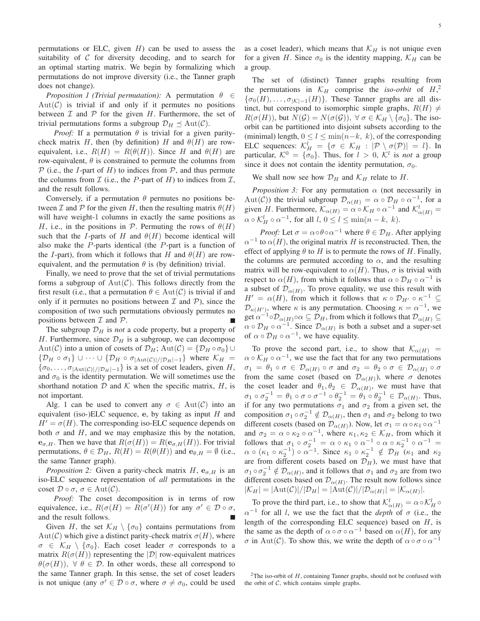permutations or ELC, given  $H$ ) can be used to assess the suitability of  $C$  for diversity decoding, and to search for an optimal starting matrix. We begin by formalizing which permutations do not improve diversity (i.e., the Tanner graph does not change).

*Proposition 1 (Trivial permutation):* A permutation  $\theta \in$  $Aut(\mathcal{C})$  is trivial if and only if it permutes no positions between  $\mathcal I$  and  $\mathcal P$  for the given  $H$ . Furthermore, the set of trivial permutations forms a subgroup  $\mathcal{D}_H \preceq \text{Aut}(\mathcal{C})$ .

*Proof:* If a permutation  $\theta$  is trivial for a given paritycheck matrix H, then (by definition) H and  $\theta(H)$  are rowequivalent, i.e.,  $R(H) = R(\theta(H))$ . Since H and  $\theta(H)$  are row-equivalent,  $\theta$  is constrained to permute the columns from  $P$  (i.e., the *I*-part of *H*) to indices from  $P$ , and thus permute the columns from  $\mathcal I$  (i.e., the P-part of H) to indices from  $\mathcal I$ , and the result follows.

Conversely, if a permutation  $\theta$  permutes no positions between  $\mathcal I$  and  $\mathcal P$  for the given H, then the resulting matrix  $\theta(H)$ will have weight-1 columns in exactly the same positions as H, i.e., in the positions in P. Permuting the rows of  $\theta(H)$ such that the I-parts of H and  $\theta(H)$  become identical will also make the P-parts identical (the P-part is a function of the I-part), from which it follows that H and  $\theta(H)$  are rowequivalent, and the permutation  $\theta$  is (by definition) trivial.

Finally, we need to prove that the set of trivial permutations forms a subgroup of  $Aut(\mathcal{C})$ . This follows directly from the first result (i.e., that a permutation  $\theta \in Aut(\mathcal{C})$  is trivial if and only if it permutes no positions between  $\mathcal I$  and  $\mathcal P$ ), since the composition of two such permutations obviously permutes no positions between  $\mathcal I$  and  $\mathcal P$ .

The subgroup  $\mathcal{D}_H$  is *not* a code property, but a property of H. Furthermore, since  $\mathcal{D}_H$  is a subgroup, we can decompose Aut(C) into a union of cosets of  $\mathcal{D}_H$ ; Aut(C) = { $\mathcal{D}_H \circ \sigma_0$ }  $\{\mathcal{D}_H \circ \sigma_1\} \cup \cdots \cup \{\mathcal{D}_H \circ \sigma_{|\text{Aut}(\mathcal{C})|/|\mathcal{D}_H|-1}\}$  where  $\mathcal{K}_H =$  $\{\sigma_0, \ldots, \sigma_{|\text{Aut}(\mathcal{C})|/|\mathcal{D}_H|-1}\}$  is a set of coset leaders, given H, and  $\sigma_0$  is the identity permutation. We will sometimes use the shorthand notation  $D$  and  $K$  when the specific matrix,  $H$ , is not important.

Alg. 1 can be used to convert any  $\sigma \in Aut(\mathcal{C})$  into an equivalent (iso-)ELC sequence, e, by taking as input  $H$  and  $H' = \sigma(H)$ . The corresponding iso-ELC sequence depends on both  $\sigma$  and H, and we may emphasize this by the notation,  $e_{\sigma,H}$ . Then we have that  $R(\sigma(H)) = R(e_{\sigma,H}(H))$ . For trivial permutations,  $\theta \in \mathcal{D}_H$ ,  $R(H) = R(\theta(H))$  and  $\mathbf{e}_{\theta,H} = \emptyset$  (i.e., the same Tanner graph).

*Proposition 2:* Given a parity-check matrix  $H$ ,  $e_{\sigma,H}$  is an iso-ELC sequence representation of *all* permutations in the coset  $\mathcal{D} \circ \sigma$ ,  $\sigma \in \text{Aut}(\mathcal{C})$ .

*Proof:* The coset decomposition is in terms of row equivalence, i.e.,  $R(\sigma(H) = R(\sigma'(H))$  for any  $\sigma' \in \mathcal{D} \circ \sigma$ , and the result follows.

Given H, the set  $\mathcal{K}_H \setminus \{\sigma_0\}$  contains permutations from  $Aut(C)$  which give a distinct parity-check matrix  $\sigma(H)$ , where  $\sigma \in \mathcal{K}_H \setminus \{\sigma_0\}$ . Each coset leader  $\sigma$  corresponds to a matrix  $R(\sigma(H))$  representing the  $|\mathcal{D}|$  row-equivalent matrices  $\theta(\sigma(H))$ ,  $\forall \theta \in \mathcal{D}$ . In other words, these all correspond to the same Tanner graph. In this sense, the set of coset leaders is not unique (any  $\sigma' \in \mathcal{D} \circ \sigma$ , where  $\sigma \neq \sigma_0$ , could be used as a coset leader), which means that  $\mathcal{K}_H$  is not unique even for a given H. Since  $\sigma_0$  is the identity mapping,  $\mathcal{K}_H$  can be a group.

The set of (distinct) Tanner graphs resulting from the permutations in  $\mathcal{K}_H$  comprise the *iso-orbit* of  $H^2$ ,  $\{\sigma_0(H), \ldots, \sigma_{|\mathcal{K}|-1}(H)\}\$ . These Tanner graphs are all distinct, but correspond to isomorphic simple graphs,  $R(H) \neq$  $R(\sigma(H))$ , but  $N(G) = N(\sigma(G))$ ,  $\forall \sigma \in \mathcal{K}_H \setminus \{\sigma_0\}$ . The isoorbit can be partitioned into disjoint subsets according to the (minimal) length,  $0 \le l \le \min(n-k, k)$ , of the corresponding ELC sequences:  $\mathcal{K}_H^l = {\sigma \in \mathcal{K}_H : |\mathcal{P} \setminus \sigma(\mathcal{P})| = l}.$  In particular,  $K^0 = {\sigma_0}$ . Thus, for  $l > 0$ ,  $K^l$  is *not* a group since it does not contain the identity permutation,  $\sigma_0$ .

We shall now see how  $\mathcal{D}_H$  and  $\mathcal{K}_H$  relate to H.

*Proposition 3:* For any permutation  $\alpha$  (not necessarily in Aut(C)) the trivial subgroup  $\mathcal{D}_{\alpha(H)} = \alpha \circ \mathcal{D}_H \circ \alpha^{-1}$ , for a given H. Furthermore,  $\mathcal{K}_{\alpha(H)} = \alpha \circ \mathcal{K}_H \circ \alpha^{-1}$  and  $\mathcal{K}_{\alpha(H)}^l =$  $\alpha \circ \mathcal{K}_H^l \circ \alpha^{-1}$ , for all  $l, 0 \le l \le \min(n-k, k)$ .

*Proof:* Let  $\sigma = \alpha \circ \theta \circ \alpha^{-1}$  where  $\theta \in \mathcal{D}_H$ . After applying  $\alpha^{-1}$  to  $\alpha(H)$ , the original matrix H is reconstructed. Then, the effect of applying  $\theta$  to H is to permute the rows of H. Finally, the columns are permuted according to  $\alpha$ , and the resulting matrix will be row-equivalent to  $\alpha(H)$ . Thus,  $\sigma$  is trivial with respect to  $\alpha(H)$ , from which it follows that  $\alpha \circ \mathcal{D}_H \circ \alpha^{-1}$  is a subset of  $\mathcal{D}_{\alpha(H)}$ . To prove equality, we use this result with  $H' = \alpha(H)$ , from which it follows that  $\kappa \circ \mathcal{D}_{H'} \circ \kappa^{-1} \subseteq$  $\mathcal{D}_{\kappa(H')}$ , where  $\kappa$  is any permutation. Choosing  $\kappa = \alpha^{-1}$ , we get  $\alpha^{-1} \circ \mathcal{D}_{\alpha(H)} \circ \alpha \subseteq \mathcal{D}_H$ , from which it follows that  $\mathcal{D}_{\alpha(H)} \subseteq$  $\alpha \circ \mathcal{D}_H \circ \alpha^{-1}$ . Since  $\mathcal{D}_{\alpha(H)}$  is both a subset and a super-set of  $\alpha \circ \mathcal{D}_H \circ \alpha^{-1}$ , we have equality.

To prove the second part, i.e., to show that  $\mathcal{K}_{\alpha(H)}$  =  $\alpha \circ \mathcal{K}_H \circ \alpha^{-1}$ , we use the fact that for any two permutations  $\sigma_1 = \theta_1 \circ \sigma \in \mathcal{D}_{\alpha(H)} \circ \sigma$  and  $\sigma_2 = \theta_2 \circ \sigma \in \mathcal{D}_{\alpha(H)} \circ \sigma$ from the same coset (based on  $\mathcal{D}_{\alpha(H)}$ ), where  $\sigma$  denotes the coset leader and  $\theta_1, \theta_2 \in \mathcal{D}_{\alpha(H)}$ , we must have that  $\sigma_1 \circ \sigma_2^{-1} = \theta_1 \circ \sigma \circ \sigma^{-1} \circ \theta_2^{-1} = \theta_1 \circ \theta_2^{-1} \in \mathcal{D}_{\alpha(H)}$ . Thus, if for any two permutations  $\sigma_1$  and  $\sigma_2$  from a given set, the composition  $\sigma_1 \circ \sigma_2^{-1} \notin \mathcal{D}_{\alpha(H)}$ , then  $\sigma_1$  and  $\sigma_2$  belong to two different cosets (based on  $\mathcal{D}_{\alpha(H)}$ ). Now, let  $\sigma_1 = \alpha \circ \kappa_1 \circ \alpha^{-1}$ and  $\sigma_2 = \alpha \circ \kappa_2 \circ \alpha^{-1}$ , where  $\kappa_1, \kappa_2 \in \mathcal{K}_H$ , from which it follows that  $\sigma_1 \circ \sigma_2^{-1} = \alpha \circ \kappa_1 \circ \alpha^{-1} \circ \alpha \circ \kappa_2^{-1} \circ \alpha^{-1} =$  $\alpha \circ (\kappa_1 \circ \kappa_2^{-1}) \circ \alpha^{-1}$ . Since  $\kappa_1 \circ \kappa_2^{-1} \notin \mathcal{D}_H$  ( $\kappa_1$  and  $\kappa_2$ ) are from different cosets based on  $\mathcal{D}_H$ ), we must have that  $\sigma_1 \circ \sigma_2^{-1} \notin \mathcal{D}_{\alpha(H)}$ , and it follows that  $\sigma_1$  and  $\sigma_2$  are from two different cosets based on  $\mathcal{D}_{\alpha(H)}$ . The result now follows since  $|\mathcal{K}_H| = |\text{Aut}(\mathcal{C})|/|\mathcal{D}_H| = |\text{Aut}(\mathcal{C})|/|\mathcal{D}_{\alpha(H)}| = |\mathcal{K}_{\alpha(H)}|.$ 

To prove the third part, i.e., to show that  $\mathcal{K}^l_{\alpha(H)} = \alpha \circ \mathcal{K}^l_H \circ \mathcal{K}^l_H$  $\alpha^{-1}$  for all l, we use the fact that the *depth* of  $\sigma$  (i.e., the length of the corresponding ELC sequence) based on  $H$ , is the same as the depth of  $\alpha \circ \sigma \circ \alpha^{-1}$  based on  $\alpha(H)$ , for any  $\sigma$  in Aut(C). To show this, we write the depth of  $\alpha \circ \sigma \circ \alpha^{-1}$ 

<sup>&</sup>lt;sup>2</sup>The iso-orbit of  $H$ , containing Tanner graphs, should not be confused with the orbit of  $C$ , which contains simple graphs.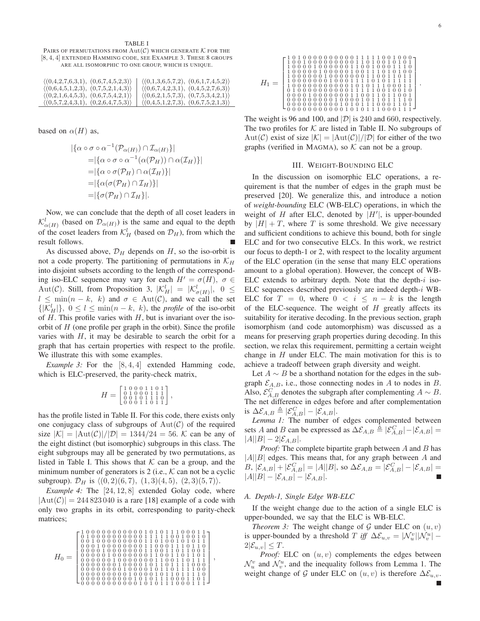TABLE I PAIRS OF PERMUTATIONS FROM  $Aut(\mathcal{C})$  which generate  $\mathcal K$  for the [8, 4, 4] EXTENDED HAMMING CODE, SEE EXAMPLE 3. THESE 8 GROUPS ARE ALL ISOMORPHIC TO ONE GROUP, WHICH IS UNIQUE.

| $\langle (0,4,2,7,6,3,1), (0,6,7,4,5,2,3) \rangle$ | $\langle (0,1,3,6,5,7,2), (0,6,1,7,4,5,2) \rangle$ |
|----------------------------------------------------|----------------------------------------------------|
| $\langle (0,6,4,5,1,2,3), (0,7,5,2,1,4,3) \rangle$ | $\langle (0,6,7,4,2,3,1), (0,4,5,2,7,6,3) \rangle$ |
| $\langle (0,2,1,6,4,5,3), (0,6,7,5,4,2,1) \rangle$ | $\langle (0,6,2,1,5,7,3), (0,7,5,3,4,2,1) \rangle$ |
| (0,5,7,2,4,3,1), (0,2,6,4,7,5,3)                   | (0,4,5,1,2,7,3), (0,6,7,5,2,1,3)                   |

based on  $\alpha(H)$  as,

$$
\begin{aligned} |\{\alpha \circ \sigma \circ \alpha^{-1}(\mathcal{P}_{\alpha(H)}) \cap \mathcal{I}_{\alpha(H)}\}| \\ &= |\{\alpha \circ \sigma \circ \alpha^{-1}(\alpha(\mathcal{P}_H)) \cap \alpha(\mathcal{I}_H)\}| \\ &= |\{\alpha \circ \sigma(\mathcal{P}_H) \cap \alpha(\mathcal{I}_H)\}| \\ &= |\{\alpha(\sigma(\mathcal{P}_H) \cap \mathcal{I}_H)\}| \\ &= |\{\sigma(\mathcal{P}_H) \cap \mathcal{I}_H\}|. \end{aligned}
$$

Now, we can conclude that the depth of all coset leaders in  $\mathcal{K}^l_{\alpha(H)}$  (based on  $\mathcal{D}_{\alpha(H)}$ ) is the same and equal to the depth of the coset leaders from  $\mathcal{K}_H^l$  (based on  $\mathcal{D}_H$ ), from which the result follows.

As discussed above,  $\mathcal{D}_H$  depends on H, so the iso-orbit is not a code property. The partitioning of permutations in  $\mathcal{K}_H$ into disjoint subsets according to the length of the corresponding iso-ELC sequence may vary for each  $H' = \sigma(H)$ ,  $\sigma \in$ Aut(C). Still, from Proposition 3,  $|\mathcal{K}_H^l| = |\mathcal{K}_{\sigma(H)}^l|, 0 \leq$  $l \leq \min(n - k, k)$  and  $\sigma \in \text{Aut}(\mathcal{C})$ , and we call the set  $\{|\mathcal{K}_H^l|\},\ 0 \leq l \leq \min(n-k,\ k)$ , the *profile* of the iso-orbit of  $H$ . This profile varies with  $H$ , but is invariant over the isoorbit of  $H$  (one profile per graph in the orbit). Since the profile varies with  $H$ , it may be desirable to search the orbit for a graph that has certain properties with respect to the profile. We illustrate this with some examples.

*Example 3:* For the [8, 4, 4] extended Hamming code, which is ELC-preserved, the parity-check matrix,

$$
H = \left[\begin{smallmatrix} 1 & 0 & 0 & 0 & 1 & 1 & 0 & 1 \\ 0 & 1 & 0 & 0 & 0 & 1 & 1 & 1 \\ 0 & 0 & 1 & 0 & 1 & 1 & 1 & 0 \\ 0 & 0 & 0 & 1 & 1 & 0 & 1 & 1 \end{smallmatrix}\right],
$$

has the profile listed in Table II. For this code, there exists only one conjugacy class of subgroups of  $Aut(\mathcal{C})$  of the required size  $|\mathcal{K}| = |\text{Aut}(\mathcal{C})|/|\mathcal{D}| = 1344/24 = 56$ . K can be any of the eight distinct (but isomorphic) subgroups in this class. The eight subgroups may all be generated by two permutations, as listed in Table I. This shows that  $K$  can be a group, and the minimum number of generators is 2 (i.e.,  $K$  can not be a cyclic subgroup).  $\mathcal{D}_H$  is  $\langle (0, 2)(6, 7), (1, 3)(4, 5), (2, 3)(5, 7)\rangle$ .

*Example 4:* The [24, 12, 8] extended Golay code, where  $|\text{Aut}(\mathcal{C})| = 244823040$  is a rare [18] example of a code with only two graphs in its orbit, corresponding to parity-check matrices;



| 1 1 1<br>0 <sub>0</sub><br>0<br>$0\;0\;0$<br>. 0 '                                                                         |
|----------------------------------------------------------------------------------------------------------------------------|
| 101<br>$\mathbf{1}$<br>0 <sub>0</sub><br>0 <sub>0</sub><br>0<br>$\theta$<br>$\overline{0}$<br>0.1<br>$\Omega$              |
| $1\,0$<br>1<br>0<br>$\Omega$<br>$\overline{0}$<br>$\theta$<br>0 <sub>0</sub><br>$^{\circ}$ 0<br>$\theta$<br>$\overline{0}$ |
| 1<br>0<br>0<br>$\theta$<br>$\overline{0}$<br>0<br>0<br>$\overline{0}$                                                      |
| -1<br>1<br>0 <sub>0</sub><br>$\theta$<br>10<br>0 <sub>0</sub><br>$\theta$<br>$\Omega$<br>$\theta$<br>$\theta$              |
| 0<br>100<br>$\theta$                                                                                                       |
| 1<br>0 <sub>0</sub><br>-1<br>10<br>$\theta$<br>10<br>$\overline{0}$<br>0<br>0 <sub>0</sub><br>10                           |
| $\overline{1}$<br>001<br>$\theta$<br>0 <sub>0</sub><br>$\theta$<br>$\overline{0}$<br>$\overline{0}$<br>0<br>0              |
| $\begin{smallmatrix} 1 & 1 & 1 \\ 1 & 0 & 0 \end{smallmatrix}$<br>$\mathbf{1}$<br>0000100000001<br>101                     |
| 101<br>-1<br>0 <sub>0</sub><br>$\theta$<br>0 <sub>0</sub><br>$\theta$<br>000<br>$\theta$                                   |
| 0 1 1 1<br>00001<br>0 1<br>000<br>10<br>0 <sub>0</sub>                                                                     |
| 0101<br>$\theta$                                                                                                           |

The weight is 96 and 100, and  $|\mathcal{D}|$  is 240 and 660, respectively. The two profiles for  $K$  are listed in Table II. No subgroups of Aut(C) exist of size  $|\mathcal{K}| = |\text{Aut}(\mathcal{C})|/|\mathcal{D}|$  for either of the two graphs (verified in MAGMA), so  $K$  can not be a group.

## III. WEIGHT-BOUNDING ELC

In the discussion on isomorphic ELC operations, a requirement is that the number of edges in the graph must be preserved [20]. We generalize this, and introduce a notion of *weight-bounding* ELC (WB-ELC) operations, in which the weight of  $H$  after ELC, denoted by  $|H'|$ , is upper-bounded by  $|H| + T$ , where T is some threshold. We give necessary and sufficient conditions to achieve this bound, both for single ELC and for two consecutive ELCs. In this work, we restrict our focus to depth-1 or 2, with respect to the locality argument of the ELC operation (in the sense that many ELC operations amount to a global operation). However, the concept of WB-ELC extends to arbitrary depth. Note that the depth- $i$  iso-ELC sequences described previously are indeed depth-i WB-ELC for  $T = 0$ , where  $0 \le i \le n - k$  is the length of the ELC-sequence. The weight of  $H$  greatly affects its suitability for iterative decoding. In the previous section, graph isomorphism (and code automorphism) was discussed as a means for preserving graph properties during decoding. In this section, we relax this requirement, permitting a certain weight change in  $H$  under ELC. The main motivation for this is to achieve a tradeoff between graph diversity and weight.

Let  $A \sim B$  be a shorthand notation for the edges in the subgraph  $\mathcal{E}_{A,B}$ , i.e., those connecting nodes in A to nodes in B. Also,  $\mathcal{E}_{A,B}^C$  denotes the subgraph after complementing  $A \sim B$ . The net difference in edges before and after complementation is  $\Delta \mathcal{E}_{A,B} \triangleq |\mathcal{E}_{A,B}^C| - |\mathcal{E}_{A,B}|.$ 

*Lemma 1:* The number of edges complemented between sets *A* and *B* can be expressed as  $\Delta \mathcal{E}_{A,B} \triangleq |\mathcal{E}_{A,B}^C| - |\mathcal{E}_{A,B}| =$  $|A||B| - 2|\mathcal{E}_{A,B}|.$ 

*Proof:* The complete bipartite graph between A and B has  $|A||B|$  edges. This means that, for any graph between A and  $B, |\mathcal{E}_{A,B}| + |\mathcal{E}_{A,B}^C| = |A||B|$ , so  $\Delta \mathcal{E}_{A,B} = |\mathcal{E}_{A,B}^C| - |\mathcal{E}_{A,B}| =$  $|A||B| - |\mathcal{E}_{A,B}| - |\mathcal{E}_{A,B}|.$ 

## *A. Depth-1, Single Edge WB-ELC*

If the weight change due to the action of a single ELC is upper-bounded, we say that the ELC is WB-ELC.

*Theorem 3:* The weight change of  $G$  under ELC on  $(u, v)$ is upper-bounded by a threshold  $T$  *iff*  $\Delta \mathcal{E}_{u,v} = |\mathcal{N}_u^v||\mathcal{N}_v^u|$  –  $2|\mathcal{E}_{u,v}| \leq T.$ 

*Proof:* ELC on  $(u, v)$  complements the edges between  $\mathcal{N}_u^v$  and  $\mathcal{N}_v^u$ , and the inequality follows from Lemma 1. The weight change of G under ELC on  $(u, v)$  is therefore  $\Delta \mathcal{E}_{u,v}$ .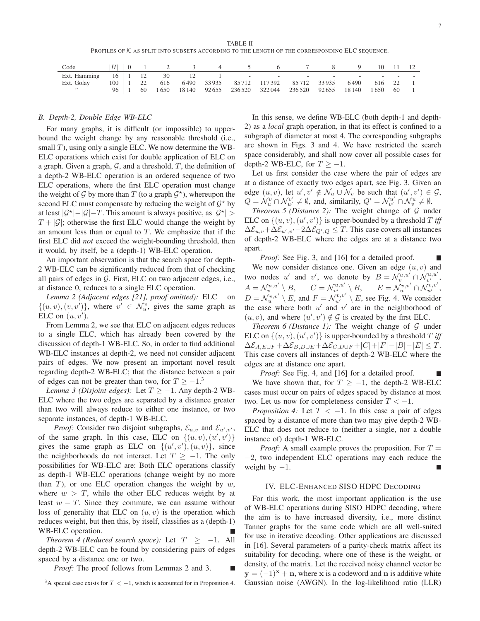TABLE II PROFILES OF K AS SPLIT INTO SUBSETS ACCORDING TO THE LENGTH OF THE CORRESPONDING ELC SEQUENCE.

| Code       |  |  |  |  |                                                                       |  |  |  |
|------------|--|--|--|--|-----------------------------------------------------------------------|--|--|--|
|            |  |  |  |  |                                                                       |  |  |  |
| Ext. Golay |  |  |  |  | 100   1 22 616 6490 33935 85712 117392 85712 33935 6490 616 22 1      |  |  |  |
| , , ,      |  |  |  |  | 96   1 60 1650 18140 92655 236520 322044 236520 92655 18140 1650 60 1 |  |  |  |

## *B. Depth-2, Double Edge WB-ELC*

For many graphs, it is difficult (or impossible) to upperbound the weight change by any reasonable threshold (i.e., small  $T$ ), using only a single ELC. We now determine the WB-ELC operations which exist for double application of ELC on a graph. Given a graph,  $G$ , and a threshold,  $T$ , the definition of a depth-2 WB-ELC operation is an ordered sequence of two ELC operations, where the first ELC operation must change the weight of  $G$  by more than  $T$  (to a graph  $G^*$ ), whereupon the second ELC must compensate by reducing the weight of  $G^*$  by at least  $|\mathcal{G}^*| - |\mathcal{G}| - T$ . This amount is always positive, as  $|\mathcal{G}^*| > T$  $T + |\mathcal{G}|$ ; otherwise the first ELC would change the weight by an amount less than or equal to  $T$ . We emphasize that if the first ELC did *not* exceed the weight-bounding threshold, then it would, by itself, be a (depth-1) WB-ELC operation.

An important observation is that the search space for depth-2 WB-ELC can be significantly reduced from that of checking all pairs of edges in  $G$ . First, ELC on two adjacent edges, i.e., at distance 0, reduces to a single ELC operation.

*Lemma 2 (Adjacent edges [21], proof omitted):* ELC on  $\{(u, v), (v, v')\}$ , where  $v' \in \mathcal{N}_u^v$ , gives the same graph as ELC on  $(u, v')$ .

From Lemma 2, we see that ELC on adjacent edges reduces to a single ELC, which has already been covered by the discussion of depth-1 WB-ELC. So, in order to find additional WB-ELC instances at depth-2, we need not consider adjacent pairs of edges. We now present an important novel result regarding depth-2 WB-ELC; that the distance between a pair of edges can not be greater than two, for  $T \ge -1$ .<sup>3</sup>

*Lemma 3 (Disjoint edges):* Let  $T \ge -1$ . Any depth-2 WB-ELC where the two edges are separated by a distance greater than two will always reduce to either one instance, or two separate instances, of depth-1 WB-ELC.

*Proof:* Consider two disjoint subgraphs,  $\mathcal{E}_{u,v}$  and  $\mathcal{E}_{u',v'}$ , of the same graph. In this case, ELC on  $\{(u, v), (u', v')\}$ gives the same graph as ELC on  $\{(u', v'), (u, v)\}\)$ , since the neighborhoods do not interact. Let  $T \ge -1$ . The only possibilities for WB-ELC are: Both ELC operations classify as depth-1 WB-ELC operations (change weight by no more than  $T$ ), or one ELC operation changes the weight by  $w$ , where  $w > T$ , while the other ELC reduces weight by at least  $w - T$ . Since they commute, we can assume without loss of generality that ELC on  $(u, v)$  is the operation which reduces weight, but then this, by itself, classifies as a (depth-1) WB-ELC operation.

*Theorem 4 (Reduced search space):* Let  $T \ge -1$ . All depth-2 WB-ELC can be found by considering pairs of edges spaced by a distance one or two.

*Proof:* The proof follows from Lemmas 2 and 3.

<sup>3</sup>A special case exists for  $T < -1$ , which is accounted for in Proposition 4.

In this sense, we define WB-ELC (both depth-1 and depth-2) as a *local* graph operation, in that its effect is confined to a subgraph of diameter at most 4. The corresponding subgraphs are shown in Figs. 3 and 4. We have restricted the search space considerably, and shall now cover all possible cases for depth-2 WB-ELC, for  $T \ge -1$ .

Let us first consider the case where the pair of edges are at a distance of exactly two edges apart, see Fig. 3. Given an edge  $(u, v)$ , let  $u', v' \notin \mathcal{N}_u \cup \mathcal{N}_v$  be such that  $(u', v') \in \mathcal{G}$ ,  $Q = \mathcal{N}_u^v \cap \mathcal{N}_{u'}^{v'} \neq \emptyset$ , and, similarily,  $Q' = \mathcal{N}_{v'}^{u'} \cap \mathcal{N}_v^u \neq \emptyset$ .

*Theorem 5 (Distance 2):* The weight change of  $G$  under ELC on  $\{(u, v), (u', v')\}$  is upper-bounded by a threshold T iff  $\Delta \mathcal{E}_{u,v} + \Delta \mathcal{E}_{u',v'} - 2\Delta \mathcal{E}_{Q',Q} \leq T.$  This case covers all instances of depth-2 WB-ELC where the edges are at a distance two apart.

*Proof:* See Fig. 3, and [16] for a detailed proof. We now consider distance one. Given an edge  $(u, v)$  and two nodes u' and v', we denote by  $B = \mathcal{N}_v^{u,u'} \cap \mathcal{N}_{v'}^{u,u'},$  $A = \mathcal{N}_v^{u,u'} \setminus B, \qquad C = \mathcal{N}_{v'}^{u,u'} \setminus B, \qquad E = \mathcal{N}_u^{v,v'} \cap \mathcal{N}_{u'}^{v,v'},$  $D = \mathcal{N}_u^{v,v'} \setminus E$ , and  $F = \mathcal{N}_{u'}^{v,v'} \setminus E$ , see Fig. 4. We consider the case where both  $u'$  and  $v'$  are in the neighborhood of  $(u, v)$ , and where  $(u', v') \notin \mathcal{G}$  is created by the first ELC.

*Theorem 6 (Distance 1):* The weight change of  $G$  under ELC on  $\{(u, v), (u', v')\}$  is upper-bounded by a threshold T iff  $\Delta \mathcal{E}_{A,E\cup F} + \Delta \mathcal{E}_{B,D\cup E} + \Delta \mathcal{E}_{C,D\cup F} + |C| + |F| - |B| - |E| \leq T.$ This case covers all instances of depth-2 WB-ELC where the edges are at distance one apart.

*Proof:* See Fig. 4, and [16] for a detailed proof. We have shown that, for  $T \ge -1$ , the depth-2 WB-ELC cases must occur on pairs of edges spaced by distance at most two. Let us now for completeness consider  $T < -1$ .

*Proposition 4:* Let  $T < -1$ . In this case a pair of edges spaced by a distance of more than two may give depth-2 WB-ELC that does not reduce to (neither a single, nor a double instance of) depth-1 WB-ELC.

*Proof:* A small example proves the proposition. For  $T =$ −2, two independent ELC operations may each reduce the weight by  $-1$ .

## IV. ELC-ENHANCED SISO HDPC DECODING

For this work, the most important application is the use of WB-ELC operations during SISO HDPC decoding, where the aim is to have increased diversity, i.e., more distinct Tanner graphs for the same code which are all well-suited for use in iterative decoding. Other applications are discussed in [16]. Several parameters of a parity-check matrix affect its suitability for decoding, where one of these is the weight, or density, of the matrix. Let the received noisy channel vector be  $y = (-1)^{x} + n$ , where x is a codeword and n is additive white Gaussian noise (AWGN). In the log-likelihood ratio (LLR)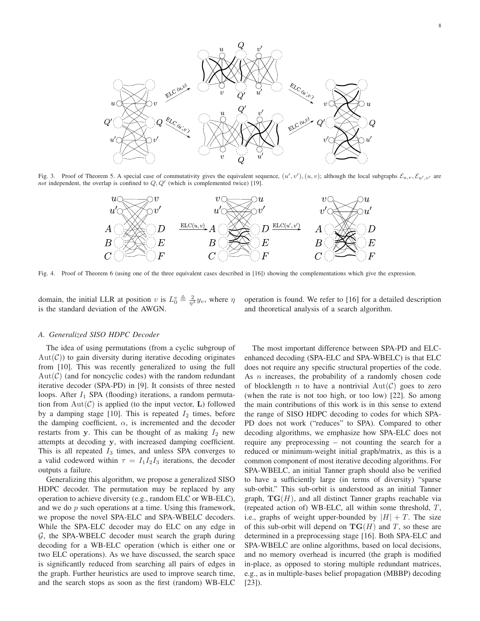

Fig. 3. Proof of Theorem 5. A special case of commutativity gives the equivalent sequence,  $(u', v'), (u, v)$ ; although the local subgraphs  $\mathcal{E}_{u,v}, \mathcal{E}_{u',v'}$  are *not* independent, the overlap is confined to  $Q$ ,  $Q'$  (which is complemented twice) [19].



Fig. 4. Proof of Theorem 6 (using one of the three equivalent cases described in [16]) showing the complementations which give the expression.

domain, the initial LLR at position v is  $L_0^v \triangleq \frac{2}{\eta^2} y_v$ , where  $\eta$ is the standard deviation of the AWGN.

operation is found. We refer to [16] for a detailed description and theoretical analysis of a search algorithm.

#### *A. Generalized SISO HDPC Decoder*

The idea of using permutations (from a cyclic subgroup of  $Aut(\mathcal{C})$  to gain diversity during iterative decoding originates from [10]. This was recently generalized to using the full  $Aut(\mathcal{C})$  (and for noncyclic codes) with the random redundant iterative decoder (SPA-PD) in [9]. It consists of three nested loops. After  $I_1$  SPA (flooding) iterations, a random permutation from  $Aut(\mathcal{C})$  is applied (to the input vector, L) followed by a damping stage [10]. This is repeated  $I_2$  times, before the damping coefficient,  $\alpha$ , is incremented and the decoder restarts from y. This can be thought of as making  $I_2$  new attempts at decoding y, with increased damping coefficient. This is all repeated  $I_3$  times, and unless SPA converges to a valid codeword within  $\tau = I_1 I_2 I_3$  iterations, the decoder outputs a failure.

Generalizing this algorithm, we propose a generalized SISO HDPC decoder. The permutation may be replaced by any operation to achieve diversity (e.g., random ELC or WB-ELC), and we do  $p$  such operations at a time. Using this framework, we propose the novel SPA-ELC and SPA-WBELC decoders. While the SPA-ELC decoder may do ELC on any edge in  $G$ , the SPA-WBELC decoder must search the graph during decoding for a WB-ELC operation (which is either one or two ELC operations). As we have discussed, the search space is significantly reduced from searching all pairs of edges in the graph. Further heuristics are used to improve search time, and the search stops as soon as the first (random) WB-ELC

The most important difference between SPA-PD and ELCenhanced decoding (SPA-ELC and SPA-WBELC) is that ELC does not require any specific structural properties of the code. As  $n$  increases, the probability of a randomly chosen code of blocklength n to have a nontrivial  $Aut(\mathcal{C})$  goes to zero (when the rate is not too high, or too low) [22]. So among the main contributions of this work is in this sense to extend the range of SISO HDPC decoding to codes for which SPA-PD does not work ("reduces" to SPA). Compared to other decoding algorithms, we emphasize how SPA-ELC does not require any preprocessing – not counting the search for a reduced or minimum-weight initial graph/matrix, as this is a common component of most iterative decoding algorithms. For SPA-WBELC, an initial Tanner graph should also be verified to have a sufficiently large (in terms of diversity) "sparse sub-orbit." This sub-orbit is understood as an initial Tanner graph,  $TG(H)$ , and all distinct Tanner graphs reachable via (repeated action of) WB-ELC, all within some threshold, T, i.e., graphs of weight upper-bounded by  $|H| + T$ . The size of this sub-orbit will depend on  $TG(H)$  and T, so these are determined in a preprocessing stage [16]. Both SPA-ELC and SPA-WBELC are online algorithms, based on local decisions, and no memory overhead is incurred (the graph is modified in-place, as opposed to storing multiple redundant matrices, e.g., as in multiple-bases belief propagation (MBBP) decoding [23]).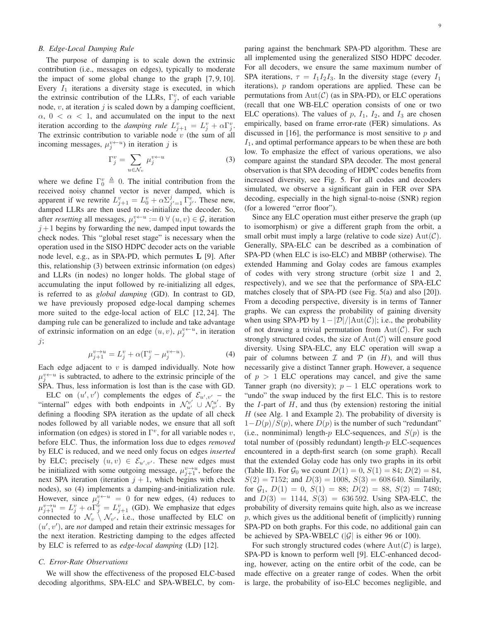## *B. Edge-Local Damping Rule*

The purpose of damping is to scale down the extrinsic contribution (i.e., messages on edges), typically to moderate the impact of some global change to the graph [7, 9, 10]. Every  $I_1$  iterations a diversity stage is executed, in which the extrinsic contribution of the LLRs,  $\Gamma_j^v$ , of each variable node,  $v$ , at iteration  $j$  is scaled down by a damping coefficient,  $\alpha$ ,  $0 < \alpha < 1$ , and accumulated on the input to the next iteration according to the *damping rule*  $L_{j+1}^v = L_j^v + \alpha \Gamma_j^v$ . The extrinsic contribution to variable node  $v$  (the sum of all incoming messages,  $\mu_j^{v \leftarrow u}$ ) in iteration j is

$$
\Gamma_j^v = \sum_{u \in \mathcal{N}_v} \mu_j^{v \leftarrow u} \tag{3}
$$

where we define  $\Gamma_0^v \triangleq 0$ . The initial contribution from the received noisy channel vector is never damped, which is apparent if we rewrite  $L_{j+1}^v = L_0^v + \alpha \Sigma_{j'=1}^j \Gamma_{j'}^v$ . These new, damped LLRs are then used to re-initialize the decoder. So, after *resetting* all messages,  $\mu_j^{v \leftarrow u} := 0 \ \forall \ (u, v) \in \mathcal{G}$ , iteration  $j+1$  begins by forwarding the new, damped input towards the check nodes. This "global reset stage" is necessary when the operation used in the SISO HDPC decoder acts on the variable node level, e.g., as in SPA-PD, which permutes L [9]. After this, relationship (3) between extrinsic information (on edges) and LLRs (in nodes) no longer holds. The global stage of accumulating the input followed by re-initializing all edges, is referred to as *global damping* (GD). In contrast to GD, we have previously proposed edge-local damping schemes more suited to the edge-local action of ELC [12, 24]. The damping rule can be generalized to include and take advantage of extrinsic information on an edge  $(u, v)$ ,  $\mu_j^{v \leftarrow u}$ , in iteration j;

$$
\mu_{j+1}^{v \to u} = L_j^v + \alpha (\Gamma_j^v - \mu_j^{v \gets u}). \tag{4}
$$

Each edge adjacent to  $v$  is damped individually. Note how  $\mu_j^{v \leftarrow u}$  is subtracted, to adhere to the extrinsic principle of the SPA. Thus, less information is lost than is the case with GD.

ELC on  $(u', v')$  complements the edges of  $\mathcal{E}_{u', v'}$  – the "internal" edges with both endpoints in  $\mathcal{N}_{u'}^{v'} \cup \mathcal{N}_{v'}^{u'}$  $\begin{bmatrix} u' \\ v' \end{bmatrix}$ . By defining a flooding SPA iteration as the update of all check nodes followed by all variable nodes, we ensure that all soft information (on edges) is stored in  $\Gamma^v$ , for all variable nodes v, before ELC. Thus, the information loss due to edges *removed* by ELC is reduced, and we need only focus on edges *inserted* by ELC; precisely  $(u, v) \in \mathcal{E}_{u', v'}$ . These new edges must be initialized with some outgoing message,  $\mu_{j+1}^{v \to u}$ , before the next SPA iteration (iteration  $j + 1$ , which begins with check nodes), so (4) implements a damping-and-initialization rule. However, since  $\mu_j^{v \leftarrow u} = 0$  for new edges, (4) reduces to  $\mu_{j+1}^{v \to u} = L_j^v + \alpha \overline{\Gamma}_j^v = L_{j+1}^v$  (GD). We emphasize that edges connected to  $\mathcal{N}_v \setminus \mathcal{N}_{v'}$ , i.e., those unaffected by ELC on (u ′ , v′ ), are *not* damped and retain their extrinsic messages for the next iteration. Restricting damping to the edges affected by ELC is referred to as *edge-local damping* (LD) [12].

#### *C. Error-Rate Observations*

We will show the effectiveness of the proposed ELC-based decoding algorithms, SPA-ELC and SPA-WBELC, by com-

paring against the benchmark SPA-PD algorithm. These are all implemented using the generalized SISO HDPC decoder. For all decoders, we ensure the same maximum number of SPA iterations,  $\tau = I_1 I_2 I_3$ . In the diversity stage (every  $I_1$ iterations),  $p$  random operations are applied. These can be permutations from  $Aut(\mathcal{C})$  (as in SPA-PD), or ELC operations (recall that one WB-ELC operation consists of one or two ELC operations). The values of  $p$ ,  $I_1$ ,  $I_2$ , and  $I_3$  are chosen empirically, based on frame error-rate (FER) simulations. As discussed in [16], the performance is most sensitive to  $p$  and  $I_1$ , and optimal performance appears to be when these are both low. To emphasize the effect of various operations, we also compare against the standard SPA decoder. The most general observation is that SPA decoding of HDPC codes benefits from increased diversity, see Fig. 5. For all codes and decoders simulated, we observe a significant gain in FER over SPA decoding, especially in the high signal-to-noise (SNR) region (for a lowered "error floor").

Since any ELC operation must either preserve the graph (up to isomorphism) or give a different graph from the orbit, a small orbit must imply a large (relative to code size)  $Aut(\mathcal{C})$ . Generally, SPA-ELC can be described as a combination of SPA-PD (when ELC is iso-ELC) and MBBP (otherwise). The extended Hamming and Golay codes are famous examples of codes with very strong structure (orbit size 1 and 2, respectively), and we see that the performance of SPA-ELC matches closely that of SPA-PD (see Fig. 5(a) and also [20]). From a decoding perspective, diversity is in terms of Tanner graphs. We can express the probability of gaining diversity when using SPA-PD by  $1-|\mathcal{D}|/|\text{Aut}(\mathcal{C})|$ ; i.e., the probability of not drawing a trivial permutation from  $Aut(\mathcal{C})$ . For such strongly structured codes, the size of  $Aut(\mathcal{C})$  will ensure good diversity. Using SPA-ELC, any ELC operation will swap a pair of columns between  $\mathcal I$  and  $\mathcal P$  (in H), and will thus necessarily give a distinct Tanner graph. However, a sequence of  $p > 1$  ELC operations may cancel, and give the same Tanner graph (no diversity);  $p - 1$  ELC operations work to "undo" the swap induced by the first ELC. This is to restore the  $I$ -part of  $H$ , and thus (by extension) restoring the initial  $H$  (see Alg. 1 and Example 2). The probability of diversity is  $1-D(p)/S(p)$ , where  $D(p)$  is the number of such "redundant" (i.e., nonminimal) length-p ELC-sequences, and  $S(p)$  is the total number of (possibly redundant) length- $p$  ELC-sequences encountered in a depth-first search (on some graph). Recall that the extended Golay code has only two graphs in its orbit (Table II). For  $\mathcal{G}_0$  we count  $D(1) = 0$ ,  $S(1) = 84$ ;  $D(2) = 84$ ,  $S(2) = 7152$ ; and  $D(3) = 1008$ ,  $S(3) = 608640$ . Similarily, for  $\mathcal{G}_1$ ,  $D(1) = 0$ ,  $S(1) = 88$ ;  $D(2) = 88$ ,  $S(2) = 7480$ ; and  $D(3) = 1144$ ,  $S(3) = 636592$ . Using SPA-ELC, the probability of diversity remains quite high, also as we increase  $p$ , which gives us the additional benefit of (implicitly) running SPA-PD on both graphs. For this code, no additional gain can be achieved by SPA-WBELC  $(|\mathcal{G}|)$  is either 96 or 100).

For such strongly structured codes (where  $Aut(\mathcal{C})$  is large), SPA-PD is known to perform well [9]. ELC-enhanced decoding, however, acting on the entire orbit of the code, can be made effective on a greater range of codes. When the orbit is large, the probability of iso-ELC becomes negligible, and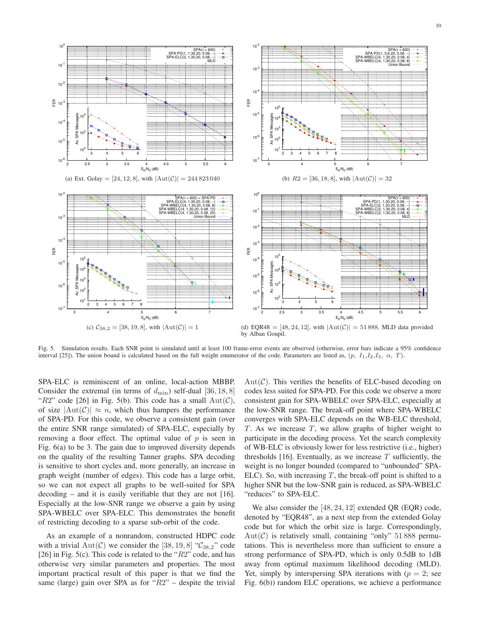

Fig. 5. Simulation results. Each SNR point is simulated until at least 100 frame-error events are observed (otherwise, error bars indicate a 95% confidence interval [25]). The union bound is calculated based on the full weight enumerator of the code. Parameters are listed as,  $(p, I_1, I_2, I_3, \alpha, T)$ .

SPA-ELC is reminiscent of an online, local-action MBBP. Consider the extremal (in terms of  $d_{\text{min}}$ ) self-dual [36, 18, 8] "R2" code [26] in Fig. 5(b). This code has a small  $Aut(\mathcal{C})$ , of size  $|\text{Aut}(\mathcal{C})| \approx n$ , which thus hampers the performance of SPA-PD. For this code, we observe a consistent gain (over the entire SNR range simulated) of SPA-ELC, especially by removing a floor effect. The optimal value of  $p$  is seen in Fig. 6(a) to be 3. The gain due to improved diversity depends on the quality of the resulting Tanner graphs. SPA decoding is sensitive to short cycles and, more generally, an increase in graph weight (number of edges). This code has a large orbit, so we can not expect all graphs to be well-suited for SPA decoding – and it is easily verifiable that they are not [16]. Especially at the low-SNR range we observe a gain by using SPA-WBELC over SPA-ELC. This demonstrates the benefit of restricting decoding to a sparse sub-orbit of the code.

As an example of a nonrandom, constructed HDPC code with a trivial  $Aut(\mathcal{C})$  we consider the [38, 19, 8] " $\mathcal{C}_{38,2}$ " code [26] in Fig. 5(c). This code is related to the " $R2$ " code, and has otherwise very similar parameters and properties. The most important practical result of this paper is that we find the same (large) gain over SPA as for " $R2$ " – despite the trivial

 $Aut(\mathcal{C})$ . This verifies the benefits of ELC-based decoding on codes less suited for SPA-PD. For this code we observe a more consistent gain for SPA-WBELC over SPA-ELC, especially at the low-SNR range. The break-off point where SPA-WBELC converges with SPA-ELC depends on the WB-ELC threshold, T. As we increase  $T$ , we allow graphs of higher weight to participate in the decoding process. Yet the search complexity of WB-ELC is obviously lower for less restrictive (i.e., higher) thresholds [16]. Eventually, as we increase  $T$  sufficiently, the weight is no longer bounded (compared to "unbounded" SPA-ELC). So, with increasing  $T$ , the break-off point is shifted to a higher SNR but the low-SNR gain is reduced, as SPA-WBELC "reduces" to SPA-ELC.

We also consider the [48, 24, 12] extended QR (EQR) code, denoted by "EQR48", as a next step from the extended Golay code but for which the orbit size is large. Correspondingly,  $Aut(\mathcal{C})$  is relatively small, containing "only" 51 888 permutations. This is nevertheless more than sufficient to ensure a strong performance of SPA-PD, which is only 0.5dB to 1dB away from optimal maximum likelihood decoding (MLD). Yet, simply by interspersing SPA iterations with  $(p = 2)$ ; see Fig. 6(b)) random ELC operations, we achieve a performance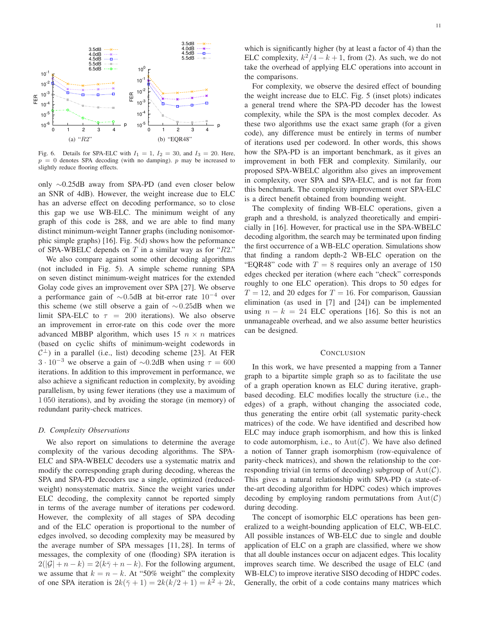

Fig. 6. Details for SPA-ELC with  $I_1 = 1$ ,  $I_2 = 30$ , and  $I_3 = 20$ . Here,  $p = 0$  denotes SPA decoding (with no damping). p may be increased to slightly reduce flooring effects.

only ∼0.25dB away from SPA-PD (and even closer below an SNR of 4dB). However, the weight increase due to ELC has an adverse effect on decoding performance, so to close this gap we use WB-ELC. The minimum weight of any graph of this code is 288, and we are able to find many distinct minimum-weight Tanner graphs (including nonisomorphic simple graphs) [16]. Fig. 5(d) shows how the peformance of SPA-WBELC depends on  $T$  in a similar way as for " $R2$ ."

We also compare against some other decoding algorithms (not included in Fig. 5). A simple scheme running SPA on seven distinct minimum-weight matrices for the extended Golay code gives an improvement over SPA [27]. We observe a performance gain of  $\sim$ 0.5dB at bit-error rate 10<sup>-4</sup> over this scheme (we still observe a gain of  $\sim$ 0.25dB when we limit SPA-ELC to  $\tau = 200$  iterations). We also observe an improvement in error-rate on this code over the more advanced MBBP algorithm, which uses 15  $n \times n$  matrices (based on cyclic shifts of minimum-weight codewords in  $C^{\perp}$ ) in a parallel (i.e., list) decoding scheme [23]. At FER  $3 \cdot 10^{-3}$  we observe a gain of ~0.2dB when using  $\tau = 600$ iterations. In addition to this improvement in performance, we also achieve a significant reduction in complexity, by avoiding parallelism, by using fewer iterations (they use a maximum of 1 050 iterations), and by avoiding the storage (in memory) of redundant parity-check matrices.

## *D. Complexity Observations*

We also report on simulations to determine the average complexity of the various decoding algorithms. The SPA-ELC and SPA-WBELC decoders use a systematic matrix and modify the corresponding graph during decoding, whereas the SPA and SPA-PD decoders use a single, optimized (reducedweight) nonsystematic matrix. Since the weight varies under ELC decoding, the complexity cannot be reported simply in terms of the average number of iterations per codeword. However, the complexity of all stages of SPA decoding and of the ELC operation is proportional to the number of edges involved, so decoding complexity may be measured by the average number of SPA messages [11, 28]. In terms of messages, the complexity of one (flooding) SPA iteration is  $2(|\mathcal{G}| + n - k) = 2(k\overline{\gamma} + n - k)$ . For the following argument, we assume that  $k = n - k$ . At "50% weight" the complexity of one SPA iteration is  $2k(7 + 1) = 2k(k/2 + 1) = k^2 + 2k$ ,

which is significantly higher (by at least a factor of 4) than the ELC complexity,  $k^2/4 - k + 1$ , from (2). As such, we do not take the overhead of applying ELC operations into account in the comparisons.

For complexity, we observe the desired effect of bounding the weight increase due to ELC. Fig. 5 (inset plots) indicates a general trend where the SPA-PD decoder has the lowest complexity, while the SPA is the most complex decoder. As these two algorithms use the exact same graph (for a given code), any difference must be entirely in terms of number of iterations used per codeword. In other words, this shows how the SPA-PD is an important benchmark, as it gives an improvement in both FER and complexity. Similarily, our proposed SPA-WBELC algorithm also gives an improvement in complexity, over SPA and SPA-ELC, and is not far from this benchmark. The complexity improvement over SPA-ELC is a direct benefit obtained from bounding weight.

The complexity of finding WB-ELC operations, given a graph and a threshold, is analyzed theoretically and empiricially in [16]. However, for practical use in the SPA-WBELC decoding algorithm, the search may be terminated upon finding the first occurrence of a WB-ELC operation. Simulations show that finding a random depth-2 WB-ELC operation on the "EQR48" code with  $T = 8$  requires only an average of 150 edges checked per iteration (where each "check" corresponds roughly to one ELC operation). This drops to 50 edges for  $T = 12$ , and 20 edges for  $T = 16$ . For comparison, Gaussian elimination (as used in [7] and [24]) can be implemented using  $n - k = 24$  ELC operations [16]. So this is not an unmanageable overhead, and we also assume better heuristics can be designed.

#### **CONCLUSION**

In this work, we have presented a mapping from a Tanner graph to a bipartite simple graph so as to facilitate the use of a graph operation known as ELC during iterative, graphbased decoding. ELC modifies locally the structure (i.e., the edges) of a graph, without changing the associated code, thus generating the entire orbit (all systematic parity-check matrices) of the code. We have identified and described how ELC may induce graph isomorphism, and how this is linked to code automorphism, i.e., to  $Aut(\mathcal{C})$ . We have also defined a notion of Tanner graph isomorphism (row-equivalence of parity-check matrices), and shown the relationship to the corresponding trivial (in terms of decoding) subgroup of  $Aut(\mathcal{C})$ . This gives a natural relationship with SPA-PD (a state-ofthe-art decoding algorithm for HDPC codes) which improves decoding by employing random permutations from  $Aut(\mathcal{C})$ during decoding.

The concept of isomorphic ELC operations has been generalized to a weight-bounding application of ELC, WB-ELC. All possible instances of WB-ELC due to single and double application of ELC on a graph are classified, where we show that all double instances occur on adjacent edges. This locality improves search time. We described the usage of ELC (and WB-ELC) to improve iterative SISO decoding of HDPC codes. Generally, the orbit of a code contains many matrices which